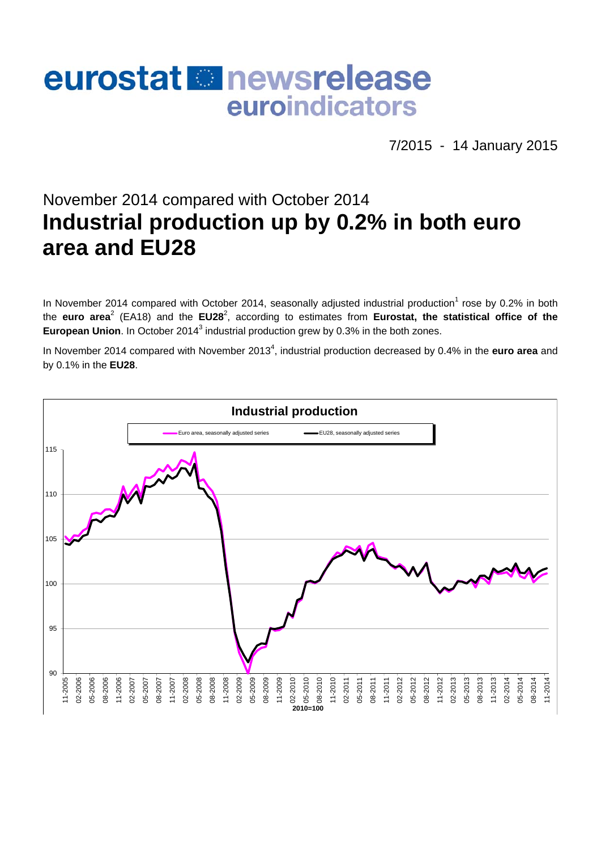# eurostat **En** newsrelease euroindicators

7/2015 - 14 January 2015

## November 2014 compared with October 2014 **Industrial production up by 0.2% in both euro area and EU28**

In November 2014 compared with October 2014, seasonally adjusted industrial production<sup>1</sup> rose by 0.2% in both the euro area<sup>2</sup> (EA18) and the EU28<sup>2</sup>, according to estimates from Eurostat, the statistical office of the European Union. In October 2014<sup>3</sup> industrial production grew by 0.3% in the both zones.

In November 2014 compared with November 2013<sup>4</sup>, industrial production decreased by 0.4% in the **euro area** and by 0.1% in the **EU28**.

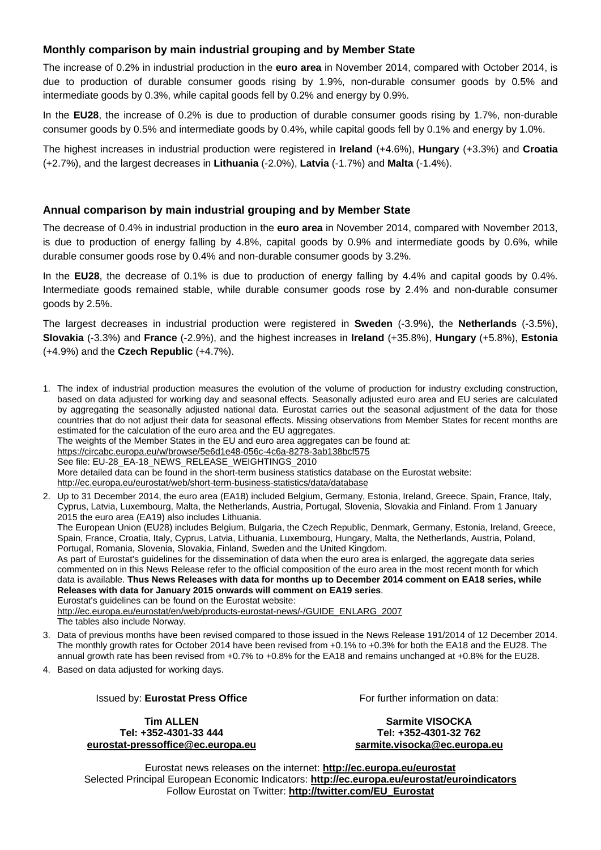#### **Monthly comparison by main industrial grouping and by Member State**

The increase of 0.2% in industrial production in the **euro area** in November 2014, compared with October 2014, is due to production of durable consumer goods rising by 1.9%, non-durable consumer goods by 0.5% and intermediate goods by 0.3%, while capital goods fell by 0.2% and energy by 0.9%.

In the **EU28**, the increase of 0.2% is due to production of durable consumer goods rising by 1.7%, non-durable consumer goods by 0.5% and intermediate goods by 0.4%, while capital goods fell by 0.1% and energy by 1.0%.

The highest increases in industrial production were registered in **Ireland** (+4.6%), **Hungary** (+3.3%) and **Croatia** (+2.7%), and the largest decreases in **Lithuania** (-2.0%), **Latvia** (-1.7%) and **Malta** (-1.4%).

#### **Annual comparison by main industrial grouping and by Member State**

The decrease of 0.4% in industrial production in the **euro area** in November 2014, compared with November 2013, is due to production of energy falling by 4.8%, capital goods by 0.9% and intermediate goods by 0.6%, while durable consumer goods rose by 0.4% and non-durable consumer goods by 3.2%.

In the **EU28**, the decrease of 0.1% is due to production of energy falling by 4.4% and capital goods by 0.4%. Intermediate goods remained stable, while durable consumer goods rose by 2.4% and non-durable consumer goods by 2.5%.

The largest decreases in industrial production were registered in **Sweden** (-3.9%), the **Netherlands** (-3.5%), **Slovakia** (-3.3%) and **France** (-2.9%), and the highest increases in **Ireland** (+35.8%), **Hungary** (+5.8%), **Estonia** (+4.9%) and the **Czech Republic** (+4.7%).

1. The index of industrial production measures the evolution of the volume of production for industry excluding construction, based on data adjusted for working day and seasonal effects. Seasonally adjusted euro area and EU series are calculated by aggregating the seasonally adjusted national data. Eurostat carries out the seasonal adjustment of the data for those countries that do not adjust their data for seasonal effects. Missing observations from Member States for recent months are estimated for the calculation of the euro area and the EU aggregates. The weights of the Member States in the EU and euro area aggregates can be found at: <https://circabc.europa.eu/w/browse/5e6d1e48-056c-4c6a-8278-3ab138bcf575> See file: EU-28\_EA-18\_NEWS\_RELEASE\_WEIGHTINGS\_2010 More detailed data can be found in the short-term business statistics database on the Eurostat website: <http://ec.europa.eu/eurostat/web/short-term-business-statistics/data/database> 2. Up to 31 December 2014, the euro area (EA18) included Belgium, Germany, Estonia, Ireland, Greece, Spain, France, Italy,

Cyprus, Latvia, Luxembourg, Malta, the Netherlands, Austria, Portugal, Slovenia, Slovakia and Finland. From 1 January 2015 the euro area (EA19) also includes Lithuania. The European Union (EU28) includes Belgium, Bulgaria, the Czech Republic, Denmark, Germany, Estonia, Ireland, Greece, Spain, France, Croatia, Italy, Cyprus, Latvia, Lithuania, Luxembourg, Hungary, Malta, the Netherlands, Austria, Poland, Portugal, Romania, Slovenia, Slovakia, Finland, Sweden and the United Kingdom. As part of Eurostat's guidelines for the dissemination of data when the euro area is enlarged, the aggregate data series commented on in this News Release refer to the official composition of the euro area in the most recent month for which data is available. **Thus News Releases with data for months up to December 2014 comment on EA18 series, while Releases with data for January 2015 onwards will comment on EA19 series**. Eurostat's guidelines can be found on the Eurostat website: [http://ec.europa.eu/eurostat/en/web/products-eurostat-news/-/GUIDE\\_ENLARG\\_2007](http://ec.europa.eu/eurostat/en/web/products-eurostat-news/-/GUIDE_ENLARG_2007) The tables also include Norway.

- 3. Data of previous months have been revised compared to those issued in the News Release 191/2014 of 12 December 2014. The monthly growth rates for October 2014 have been revised from +0.1% to +0.3% for both the EA18 and the EU28. The annual growth rate has been revised from +0.7% to +0.8% for the EA18 and remains unchanged at +0.8% for the EU28.
- 4. Based on data adjusted for working days.

#### Issued by: **Eurostat Press Office**

**Tim ALLEN Tel: +352-4301-33 444 [eurostat-pressoffice@ec.europa.eu](mailto:eurostat-pressoffice@ec.europa.eu)**  For further information on data:

**Sarmite VISOCKA Tel: +352-4301-32 762 [sarmite.visocka@ec.europa.eu](mailto:sarmite.visocka@ec.europa.eu)** 

Eurostat news releases on the internet: **<http://ec.europa.eu/eurostat>** Selected Principal European Economic Indicators: **<http://ec.europa.eu/eurostat/euroindicators>** Follow Eurostat on Twitter: **[http://twitter.com/EU\\_Eurostat](http://twitter.com/EU_Eurostat)**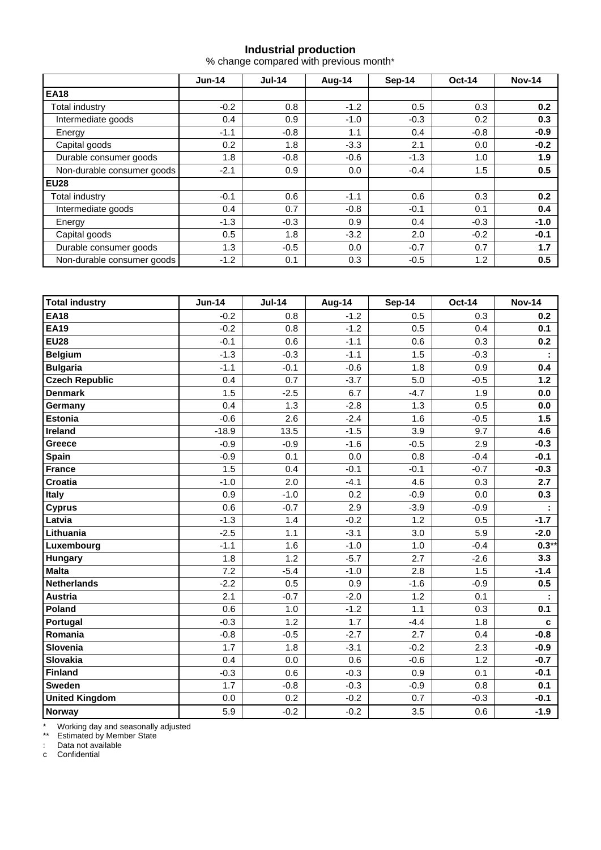#### **Industrial production**

% change compared with previous month\*

|                            | $Jun-14$ | <b>Jul-14</b> | Aug-14 | Sep-14 | <b>Oct-14</b> | <b>Nov-14</b> |  |
|----------------------------|----------|---------------|--------|--------|---------------|---------------|--|
| <b>EA18</b>                |          |               |        |        |               |               |  |
| Total industry             | $-0.2$   | 0.8           | $-1.2$ | 0.5    | 0.3           | 0.2           |  |
| Intermediate goods         | 0.4      | 0.9           | $-1.0$ | $-0.3$ | 0.2           | 0.3           |  |
| Energy                     | $-1.1$   | $-0.8$        | 1.1    | 0.4    | $-0.8$        | $-0.9$        |  |
| Capital goods              | 0.2      | 1.8           | $-3.3$ | 2.1    | 0.0           | $-0.2$        |  |
| Durable consumer goods     | 1.8      | $-0.8$        | $-0.6$ | $-1.3$ | 1.0           | 1.9           |  |
| Non-durable consumer goods | $-2.1$   | 0.9           | 0.0    | $-0.4$ | 1.5           | 0.5           |  |
| <b>EU28</b>                |          |               |        |        |               |               |  |
| Total industry             | $-0.1$   | 0.6           | $-1.1$ | 0.6    | 0.3           | 0.2           |  |
| Intermediate goods         | 0.4      | 0.7           | $-0.8$ | $-0.1$ | 0.1           | 0.4           |  |
| Energy                     | $-1.3$   | $-0.3$        | 0.9    | 0.4    | $-0.3$        | $-1.0$        |  |
| Capital goods              | 0.5      | 1.8           | $-3.2$ | 2.0    | $-0.2$        | $-0.1$        |  |
| Durable consumer goods     | 1.3      | $-0.5$        | 0.0    | $-0.7$ | 0.7           | 1.7           |  |
| Non-durable consumer goods | $-1.2$   | 0.1           | 0.3    | $-0.5$ | 1.2           | 0.5           |  |

| <b>Total industry</b> | <b>Jun-14</b> | <b>Jul-14</b> | Aug-14 | <b>Sep-14</b> | <b>Oct-14</b> | <b>Nov-14</b>    |
|-----------------------|---------------|---------------|--------|---------------|---------------|------------------|
| <b>EA18</b>           | $-0.2$        | 0.8           | $-1.2$ | 0.5           | 0.3           | 0.2 <sub>0</sub> |
| <b>EA19</b>           | $-0.2$        | 0.8           | $-1.2$ | 0.5           | 0.4           | 0.1              |
| <b>EU28</b>           | $-0.1$        | 0.6           | $-1.1$ | 0.6           | 0.3           | 0.2              |
| Belgium               | $-1.3$        | $-0.3$        | $-1.1$ | 1.5           | $-0.3$        |                  |
| <b>Bulgaria</b>       | $-1.1$        | $-0.1$        | $-0.6$ | 1.8           | 0.9           | 0.4              |
| <b>Czech Republic</b> | 0.4           | 0.7           | $-3.7$ | 5.0           | $-0.5$        | 1.2              |
| <b>Denmark</b>        | 1.5           | $-2.5$        | 6.7    | $-4.7$        | 1.9           | 0.0              |
| Germany               | 0.4           | 1.3           | $-2.8$ | 1.3           | 0.5           | 0.0              |
| <b>Estonia</b>        | $-0.6$        | 2.6           | $-2.4$ | 1.6           | $-0.5$        | 1.5              |
| Ireland               | $-18.9$       | 13.5          | $-1.5$ | 3.9           | 9.7           | 4.6              |
| Greece                | $-0.9$        | $-0.9$        | $-1.6$ | $-0.5$        | 2.9           | $-0.3$           |
| <b>Spain</b>          | $-0.9$        | 0.1           | 0.0    | 0.8           | $-0.4$        | $-0.1$           |
| <b>France</b>         | 1.5           | 0.4           | $-0.1$ | $-0.1$        | $-0.7$        | $-0.3$           |
| <b>Croatia</b>        | $-1.0$        | 2.0           | $-4.1$ | 4.6           | 0.3           | 2.7              |
| <b>Italy</b>          | 0.9           | $-1.0$        | 0.2    | $-0.9$        | 0.0           | 0.3              |
| <b>Cyprus</b>         | 0.6           | $-0.7$        | 2.9    | $-3.9$        | $-0.9$        |                  |
| Latvia                | $-1.3$        | 1.4           | $-0.2$ | 1.2           | 0.5           | $-1.7$           |
| Lithuania             | $-2.5$        | 1.1           | $-3.1$ | 3.0           | 5.9           | $-2.0$           |
| Luxembourg            | $-1.1$        | 1.6           | $-1.0$ | 1.0           | $-0.4$        | $0.3***$         |
| <b>Hungary</b>        | 1.8           | 1.2           | $-5.7$ | 2.7           | $-2.6$        | 3.3              |
| <b>Malta</b>          | 7.2           | $-5.4$        | $-1.0$ | 2.8           | 1.5           | $-1.4$           |
| <b>Netherlands</b>    | $-2.2$        | 0.5           | 0.9    | $-1.6$        | $-0.9$        | 0.5              |
| Austria               | 2.1           | $-0.7$        | $-2.0$ | 1.2           | 0.1           |                  |
| Poland                | 0.6           | 1.0           | $-1.2$ | 1.1           | 0.3           | 0.1              |
| Portugal              | $-0.3$        | 1.2           | 1.7    | $-4.4$        | 1.8           | c                |
| Romania               | $-0.8$        | $-0.5$        | $-2.7$ | 2.7           | 0.4           | $-0.8$           |
| Slovenia              | 1.7           | 1.8           | $-3.1$ | $-0.2$        | 2.3           | $-0.9$           |
| Slovakia              | 0.4           | 0.0           | 0.6    | $-0.6$        | 1.2           | $-0.7$           |
| <b>Finland</b>        | $-0.3$        | 0.6           | $-0.3$ | 0.9           | 0.1           | $-0.1$           |
| <b>Sweden</b>         | 1.7           | $-0.8$        | $-0.3$ | $-0.9$        | 0.8           | 0.1              |
| <b>United Kingdom</b> | 0.0           | 0.2           | $-0.2$ | 0.7           | $-0.3$        | $-0.1$           |
| <b>Norway</b>         | 5.9           | $-0.2$        | $-0.2$ | 3.5           | 0.6           | $-1.9$           |

\* Working day and seasonally adjusted

\*\* Estimated by Member State

: Data not available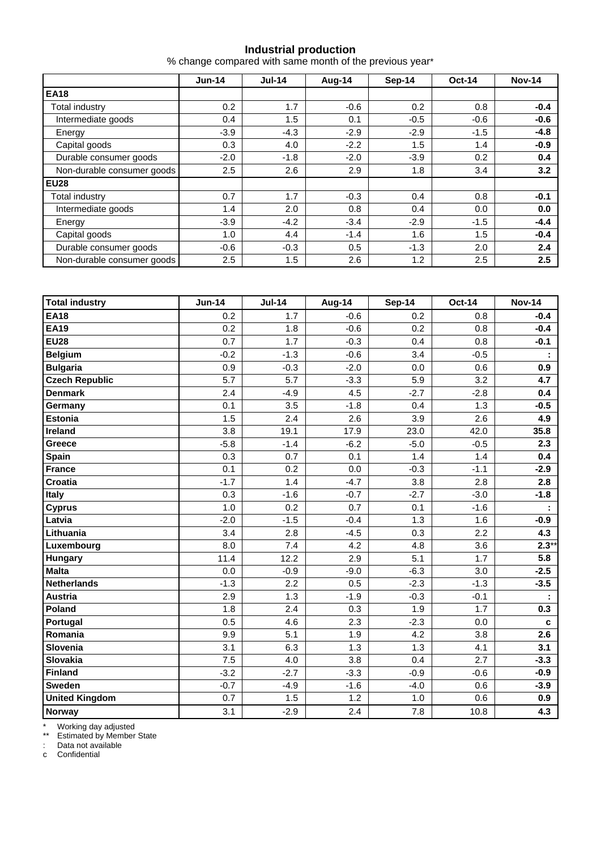#### **Industrial production**

% change compared with same month of the previous year\*

|                            | $Jun-14$ | <b>Jul-14</b> | Aug-14 | Sep-14 | <b>Oct-14</b> | <b>Nov-14</b> |  |
|----------------------------|----------|---------------|--------|--------|---------------|---------------|--|
| <b>EA18</b>                |          |               |        |        |               |               |  |
| <b>Total industry</b>      | 0.2      | 1.7           | $-0.6$ | 0.2    | 0.8           | $-0.4$        |  |
| Intermediate goods         | 0.4      | 1.5           | 0.1    | $-0.5$ | $-0.6$        | $-0.6$        |  |
| Energy                     | $-3.9$   | $-4.3$        | $-2.9$ | $-2.9$ | $-1.5$        | $-4.8$        |  |
| Capital goods              | 0.3      | 4.0           | $-2.2$ | 1.5    | 1.4           | $-0.9$        |  |
| Durable consumer goods     | $-2.0$   | $-1.8$        | $-2.0$ | $-3.9$ | 0.2           | 0.4           |  |
| Non-durable consumer goods | 2.5      | 2.6           | 2.9    | 1.8    | 3.4           | 3.2           |  |
| <b>EU28</b>                |          |               |        |        |               |               |  |
| Total industry             | 0.7      | 1.7           | $-0.3$ | 0.4    | 0.8           | $-0.1$        |  |
| Intermediate goods         | 1.4      | 2.0           | 0.8    | 0.4    | 0.0           | 0.0           |  |
| Energy                     | $-3.9$   | $-4.2$        | $-3.4$ | $-2.9$ | $-1.5$        | $-4.4$        |  |
| Capital goods              | 1.0      | 4.4           | $-1.4$ | 1.6    | 1.5           | $-0.4$        |  |
| Durable consumer goods     | $-0.6$   | $-0.3$        | 0.5    | $-1.3$ | 2.0           | 2.4           |  |
| Non-durable consumer goods | 2.5      | 1.5           | 2.6    | 1.2    | 2.5           | 2.5           |  |

| <b>Total industry</b> | <b>Jun-14</b> | <b>Jul-14</b> | Aug-14 | <b>Sep-14</b> | <b>Oct-14</b> | <b>Nov-14</b> |
|-----------------------|---------------|---------------|--------|---------------|---------------|---------------|
| <b>EA18</b>           | 0.2           | 1.7           | $-0.6$ | 0.2           | 0.8           | $-0.4$        |
| <b>EA19</b>           | 0.2           | 1.8           | $-0.6$ | 0.2           | 0.8           | $-0.4$        |
| <b>EU28</b>           | 0.7           | 1.7           | $-0.3$ | 0.4           | 0.8           | $-0.1$        |
| <b>Belgium</b>        | $-0.2$        | $-1.3$        | $-0.6$ | 3.4           | $-0.5$        |               |
| <b>Bulgaria</b>       | 0.9           | $-0.3$        | $-2.0$ | 0.0           | 0.6           | 0.9           |
| <b>Czech Republic</b> | 5.7           | 5.7           | $-3.3$ | 5.9           | 3.2           | 4.7           |
| <b>Denmark</b>        | 2.4           | $-4.9$        | 4.5    | $-2.7$        | $-2.8$        | 0.4           |
| Germany               | 0.1           | 3.5           | $-1.8$ | 0.4           | 1.3           | $-0.5$        |
| <b>Estonia</b>        | 1.5           | 2.4           | 2.6    | 3.9           | 2.6           | 4.9           |
| Ireland               | 3.8           | 19.1          | 17.9   | 23.0          | 42.0          | 35.8          |
| Greece                | $-5.8$        | $-1.4$        | $-6.2$ | $-5.0$        | $-0.5$        | 2.3           |
| <b>Spain</b>          | 0.3           | 0.7           | 0.1    | 1.4           | 1.4           | 0.4           |
| <b>France</b>         | 0.1           | 0.2           | 0.0    | $-0.3$        | $-1.1$        | $-2.9$        |
| Croatia               | $-1.7$        | 1.4           | $-4.7$ | 3.8           | 2.8           | 2.8           |
| <b>Italy</b>          | 0.3           | $-1.6$        | $-0.7$ | $-2.7$        | $-3.0$        | $-1.8$        |
| <b>Cyprus</b>         | 1.0           | 0.2           | 0.7    | 0.1           | $-1.6$        |               |
| Latvia                | $-2.0$        | $-1.5$        | $-0.4$ | 1.3           | 1.6           | $-0.9$        |
| Lithuania             | 3.4           | 2.8           | $-4.5$ | 0.3           | 2.2           | 4.3           |
| Luxembourg            | 8.0           | 7.4           | 4.2    | 4.8           | 3.6           | $2.3**$       |
| <b>Hungary</b>        | 11.4          | 12.2          | 2.9    | 5.1           | 1.7           | 5.8           |
| <b>Malta</b>          | 0.0           | $-0.9$        | $-9.0$ | $-6.3$        | 3.0           | $-2.5$        |
| Netherlands           | $-1.3$        | 2.2           | 0.5    | $-2.3$        | $-1.3$        | $-3.5$        |
| Austria               | 2.9           | 1.3           | $-1.9$ | $-0.3$        | $-0.1$        |               |
| Poland                | 1.8           | 2.4           | 0.3    | 1.9           | 1.7           | 0.3           |
| Portugal              | 0.5           | 4.6           | 2.3    | $-2.3$        | 0.0           | c             |
| Romania               | 9.9           | 5.1           | 1.9    | 4.2           | 3.8           | 2.6           |
| Slovenia              | 3.1           | 6.3           | 1.3    | 1.3           | 4.1           | 3.1           |
| Slovakia              | 7.5           | 4.0           | 3.8    | 0.4           | 2.7           | $-3.3$        |
| Finland               | $-3.2$        | $-2.7$        | $-3.3$ | $-0.9$        | $-0.6$        | $-0.9$        |
| <b>Sweden</b>         | $-0.7$        | $-4.9$        | $-1.6$ | $-4.0$        | 0.6           | $-3.9$        |
| <b>United Kingdom</b> | 0.7           | 1.5           | 1.2    | 1.0           | 0.6           | 0.9           |
| <b>Norway</b>         | 3.1           | $-2.9$        | 2.4    | 7.8           | 10.8          | 4.3           |

\* Working day adjusted

\*\* Estimated by Member State

: Data not available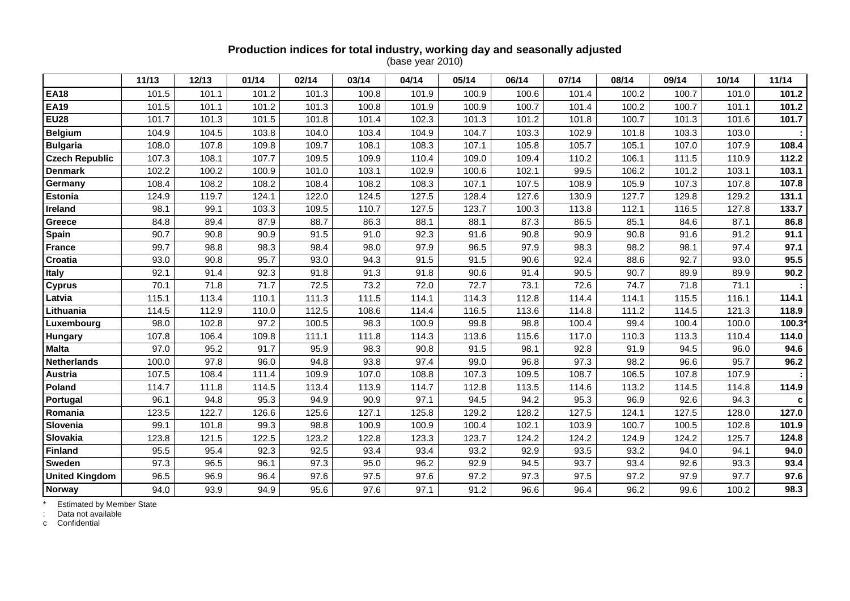### **Production indices for total industry, working day and seasonally adjusted**

(base year 2010)

|                       | 11/13 | 12/13 | 01/14 | 02/14 | 03/14 | 04/14 | 05/14 | 06/14 | 07/14 | 08/14 | 09/14 | 10/14 | 11/14  |
|-----------------------|-------|-------|-------|-------|-------|-------|-------|-------|-------|-------|-------|-------|--------|
| <b>EA18</b>           | 101.5 | 101.1 | 101.2 | 101.3 | 100.8 | 101.9 | 100.9 | 100.6 | 101.4 | 100.2 | 100.7 | 101.0 | 101.2  |
| <b>EA19</b>           | 101.5 | 101.1 | 101.2 | 101.3 | 100.8 | 101.9 | 100.9 | 100.7 | 101.4 | 100.2 | 100.7 | 101.1 | 101.2  |
| <b>EU28</b>           | 101.7 | 101.3 | 101.5 | 101.8 | 101.4 | 102.3 | 101.3 | 101.2 | 101.8 | 100.7 | 101.3 | 101.6 | 101.7  |
| <b>Belgium</b>        | 104.9 | 104.5 | 103.8 | 104.0 | 103.4 | 104.9 | 104.7 | 103.3 | 102.9 | 101.8 | 103.3 | 103.0 |        |
| <b>Bulgaria</b>       | 108.0 | 107.8 | 109.8 | 109.7 | 108.1 | 108.3 | 107.1 | 105.8 | 105.7 | 105.1 | 107.0 | 107.9 | 108.4  |
| <b>Czech Republic</b> | 107.3 | 108.1 | 107.7 | 109.5 | 109.9 | 110.4 | 109.0 | 109.4 | 110.2 | 106.1 | 111.5 | 110.9 | 112.2  |
| <b>Denmark</b>        | 102.2 | 100.2 | 100.9 | 101.0 | 103.1 | 102.9 | 100.6 | 102.1 | 99.5  | 106.2 | 101.2 | 103.1 | 103.1  |
| Germany               | 108.4 | 108.2 | 108.2 | 108.4 | 108.2 | 108.3 | 107.1 | 107.5 | 108.9 | 105.9 | 107.3 | 107.8 | 107.8  |
| Estonia               | 124.9 | 119.7 | 124.1 | 122.0 | 124.5 | 127.5 | 128.4 | 127.6 | 130.9 | 127.7 | 129.8 | 129.2 | 131.1  |
| Ireland               | 98.1  | 99.1  | 103.3 | 109.5 | 110.7 | 127.5 | 123.7 | 100.3 | 113.8 | 112.1 | 116.5 | 127.8 | 133.7  |
| Greece                | 84.8  | 89.4  | 87.9  | 88.7  | 86.3  | 88.1  | 88.1  | 87.3  | 86.5  | 85.1  | 84.6  | 87.1  | 86.8   |
| Spain                 | 90.7  | 90.8  | 90.9  | 91.5  | 91.0  | 92.3  | 91.6  | 90.8  | 90.9  | 90.8  | 91.6  | 91.2  | 91.1   |
| <b>France</b>         | 99.7  | 98.8  | 98.3  | 98.4  | 98.0  | 97.9  | 96.5  | 97.9  | 98.3  | 98.2  | 98.1  | 97.4  | 97.1   |
| Croatia               | 93.0  | 90.8  | 95.7  | 93.0  | 94.3  | 91.5  | 91.5  | 90.6  | 92.4  | 88.6  | 92.7  | 93.0  | 95.5   |
| <b>Italy</b>          | 92.1  | 91.4  | 92.3  | 91.8  | 91.3  | 91.8  | 90.6  | 91.4  | 90.5  | 90.7  | 89.9  | 89.9  | 90.2   |
| <b>Cyprus</b>         | 70.1  | 71.8  | 71.7  | 72.5  | 73.2  | 72.0  | 72.7  | 73.1  | 72.6  | 74.7  | 71.8  | 71.1  |        |
| Latvia                | 115.1 | 113.4 | 110.1 | 111.3 | 111.5 | 114.1 | 114.3 | 112.8 | 114.4 | 114.1 | 115.5 | 116.1 | 114.1  |
| Lithuania             | 114.5 | 112.9 | 110.0 | 112.5 | 108.6 | 114.4 | 116.5 | 113.6 | 114.8 | 111.2 | 114.5 | 121.3 | 118.9  |
| Luxembourg            | 98.0  | 102.8 | 97.2  | 100.5 | 98.3  | 100.9 | 99.8  | 98.8  | 100.4 | 99.4  | 100.4 | 100.0 | 100.3* |
| <b>Hungary</b>        | 107.8 | 106.4 | 109.8 | 111.1 | 111.8 | 114.3 | 113.6 | 115.6 | 117.0 | 110.3 | 113.3 | 110.4 | 114.0  |
| <b>Malta</b>          | 97.0  | 95.2  | 91.7  | 95.9  | 98.3  | 90.8  | 91.5  | 98.1  | 92.8  | 91.9  | 94.5  | 96.0  | 94.6   |
| Netherlands           | 100.0 | 97.8  | 96.0  | 94.8  | 93.8  | 97.4  | 99.0  | 96.8  | 97.3  | 98.2  | 96.6  | 95.7  | 96.2   |
| <b>Austria</b>        | 107.5 | 108.4 | 111.4 | 109.9 | 107.0 | 108.8 | 107.3 | 109.5 | 108.7 | 106.5 | 107.8 | 107.9 |        |
| Poland                | 114.7 | 111.8 | 114.5 | 113.4 | 113.9 | 114.7 | 112.8 | 113.5 | 114.6 | 113.2 | 114.5 | 114.8 | 114.9  |
| Portugal              | 96.1  | 94.8  | 95.3  | 94.9  | 90.9  | 97.1  | 94.5  | 94.2  | 95.3  | 96.9  | 92.6  | 94.3  | C      |
| Romania               | 123.5 | 122.7 | 126.6 | 125.6 | 127.1 | 125.8 | 129.2 | 128.2 | 127.5 | 124.1 | 127.5 | 128.0 | 127.0  |
| Slovenia              | 99.1  | 101.8 | 99.3  | 98.8  | 100.9 | 100.9 | 100.4 | 102.1 | 103.9 | 100.7 | 100.5 | 102.8 | 101.9  |
| Slovakia              | 123.8 | 121.5 | 122.5 | 123.2 | 122.8 | 123.3 | 123.7 | 124.2 | 124.2 | 124.9 | 124.2 | 125.7 | 124.8  |
| Finland               | 95.5  | 95.4  | 92.3  | 92.5  | 93.4  | 93.4  | 93.2  | 92.9  | 93.5  | 93.2  | 94.0  | 94.1  | 94.0   |
| Sweden                | 97.3  | 96.5  | 96.1  | 97.3  | 95.0  | 96.2  | 92.9  | 94.5  | 93.7  | 93.4  | 92.6  | 93.3  | 93.4   |
| <b>United Kingdom</b> | 96.5  | 96.9  | 96.4  | 97.6  | 97.5  | 97.6  | 97.2  | 97.3  | 97.5  | 97.2  | 97.9  | 97.7  | 97.6   |
| <b>Norway</b>         | 94.0  | 93.9  | 94.9  | 95.6  | 97.6  | 97.1  | 91.2  | 96.6  | 96.4  | 96.2  | 99.6  | 100.2 | 98.3   |

\* Estimated by Member State : Data not available